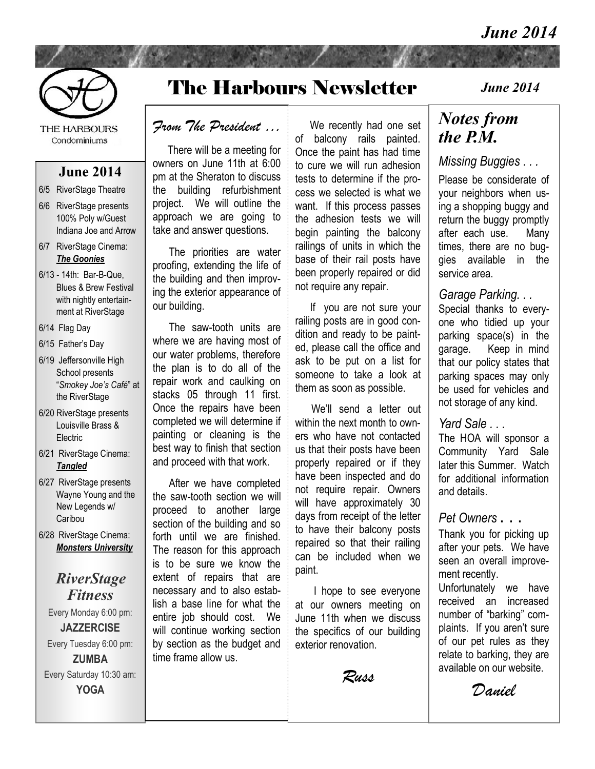#### *June 2014*



THE HARBOURS Condominiums

#### **June 2014**

- 6/5 RiverStage Theatre
- 6/6 RiverStage presents 100% Poly w/Guest Indiana Joe and Arrow
- 6/7 RiverStage Cinema: *The Goonies*
- 6/13 14th: Bar-B-Que, Blues & Brew Festival with nightly entertainment at RiverStage
- 6/14 Flag Day
- 6/15 Father's Day
- 6/19 Jeffersonville High School presents "*Smokey Joe's Café*" at the RiverStage
- 6/20 RiverStage presents Louisville Brass & **Electric**
- 6/21 RiverStage Cinema: *Tangled*
- 6/27 RiverStage presents Wayne Young and the New Legends w/ Caribou
- 6/28 RiverStage Cinema: *Monsters University*

#### *RiverStage Fitness*

Every Monday 6:00 pm: **JAZZERCISE**  Every Tuesday 6:00 pm: **ZUMBA**  Every Saturday 10:30 am: **YOGA** 

## The Harbours Newsletter

#### *From The President …*

 There will be a meeting for owners on June 11th at 6:00 pm at the Sheraton to discuss the building refurbishment project. We will outline the approach we are going to take and answer questions.

 The priorities are water proofing, extending the life of the building and then improving the exterior appearance of our building.

 The saw-tooth units are where we are having most of our water problems, therefore the plan is to do all of the repair work and caulking on stacks 05 through 11 first. Once the repairs have been completed we will determine if painting or cleaning is the best way to finish that section and proceed with that work.

 After we have completed the saw-tooth section we will proceed to another large section of the building and so forth until we are finished. The reason for this approach is to be sure we know the extent of repairs that are necessary and to also establish a base line for what the entire job should cost. We will continue working section by section as the budget and time frame allow us. j

 We recently had one set of balcony rails painted. Once the paint has had time to cure we will run adhesion tests to determine if the process we selected is what we want. If this process passes the adhesion tests we will begin painting the balcony railings of units in which the base of their rail posts have been properly repaired or did not require any repair.

 If you are not sure your railing posts are in good condition and ready to be painted, please call the office and ask to be put on a list for someone to take a look at them as soon as possible.

 We'll send a letter out within the next month to owners who have not contacted us that their posts have been properly repaired or if they have been inspected and do not require repair. Owners will have approximately 30 days from receipt of the letter to have their balcony posts repaired so that their railing can be included when we paint. ľ

 I hope to see everyone at our owners meeting on June 11th when we discuss the specifics of our building exterior renovation.

*Russ*

#### *June 2014*

## *Notes from the P.M.*

#### *Missing Buggies . . .*

Please be considerate of your neighbors when using a shopping buggy and return the buggy promptly after each use. Many times, there are no buggies available in the service area.

#### *Garage Parking. . .*

Special thanks to everyone who tidied up your parking space(s) in the garage. Keep in mind that our policy states that parking spaces may only be used for vehicles and not storage of any kind.

#### *Yard Sale . . .*

The HOA will sponsor a Community Yard Sale later this Summer. Watch for additional information and details.

#### *Pet Owners* . . .

Thank you for picking up after your pets. We have seen an overall improvement recently.

Unfortunately we have received an increased number of "barking" complaints. If you aren't sure of our pet rules as they relate to barking, they are available on our website.

*Daniel*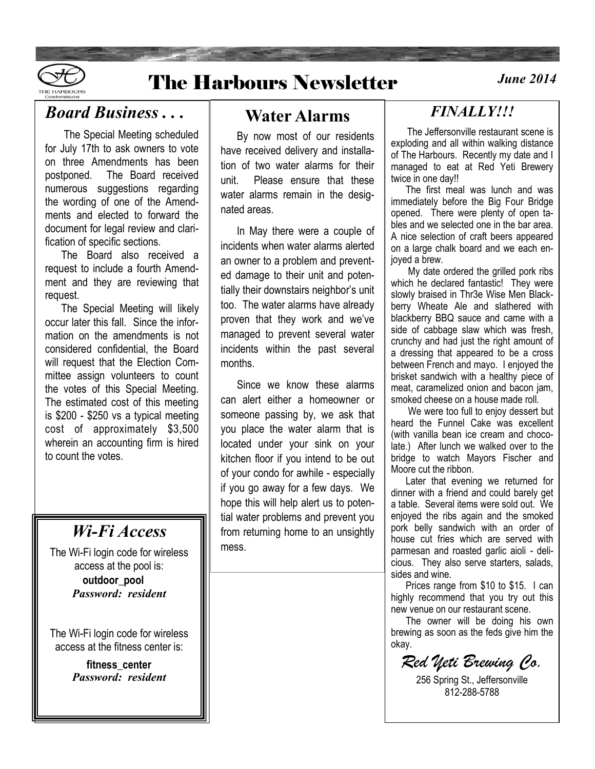

## **The Harbours Newsletter**

## *Board Business . . .*

 The Special Meeting scheduled for July 17th to ask owners to vote on three Amendments has been postponed. The Board received numerous suggestions regarding the wording of one of the Amendments and elected to forward the document for legal review and clarification of specific sections.

 The Board also received a request to include a fourth Amendment and they are reviewing that request.

 The Special Meeting will likely occur later this fall. Since the information on the amendments is not considered confidential, the Board will request that the Election Committee assign volunteers to count the votes of this Special Meeting. The estimated cost of this meeting is \$200 - \$250 vs a typical meeting cost of approximately \$3,500 wherein an accounting firm is hired to count the votes.

## *Wi-Fi Access*

The Wi-Fi login code for wireless access at the pool is: **outdoor\_pool** *Password: resident*

The Wi-Fi login code for wireless access at the fitness center is:

> **fitness\_center** *Password: resident*

### **Water Alarms**

 By now most of our residents have received delivery and installation of two water alarms for their unit. Please ensure that these water alarms remain in the designated areas.

 In May there were a couple of incidents when water alarms alerted an owner to a problem and prevented damage to their unit and potentially their downstairs neighbor's unit too. The water alarms have already proven that they work and we've managed to prevent several water incidents within the past several months.

 Since we know these alarms can alert either a homeowner or someone passing by, we ask that you place the water alarm that is located under your sink on your kitchen floor if you intend to be out of your condo for awhile - especially if you go away for a few days. We hope this will help alert us to potential water problems and prevent you from returning home to an unsightly mess.

## *FINALLY!!!*

 The Jeffersonville restaurant scene is exploding and all within walking distance of The Harbours. Recently my date and I managed to eat at Red Yeti Brewery twice in one day!!

 The first meal was lunch and was immediately before the Big Four Bridge opened. There were plenty of open tables and we selected one in the bar area. A nice selection of craft beers appeared on a large chalk board and we each enjoyed a brew.

 My date ordered the grilled pork ribs which he declared fantastic! They were slowly braised in Thr3e Wise Men Blackberry Wheate Ale and slathered with blackberry BBQ sauce and came with a side of cabbage slaw which was fresh, crunchy and had just the right amount of a dressing that appeared to be a cross between French and mayo. I enjoyed the brisket sandwich with a healthy piece of meat, caramelized onion and bacon jam, smoked cheese on a house made roll.

 We were too full to enjoy dessert but heard the Funnel Cake was excellent (with vanilla bean ice cream and chocolate.) After lunch we walked over to the bridge to watch Mayors Fischer and Moore cut the ribbon.

 Later that evening we returned for dinner with a friend and could barely get a table. Several items were sold out. We enjoyed the ribs again and the smoked pork belly sandwich with an order of house cut fries which are served with parmesan and roasted garlic aioli - delicious. They also serve starters, salads, sides and wine.

 Prices range from \$10 to \$15. I can highly recommend that you try out this new venue on our restaurant scene.

 The owner will be doing his own brewing as soon as the feds give him the okay.

*Red Yeti Brewing Co.*

256 Spring St., Jeffersonville 812-288-5788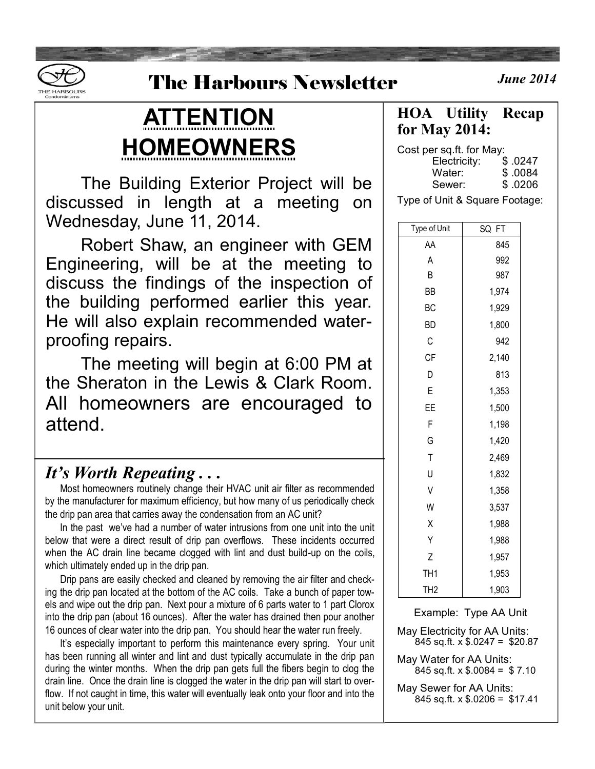

## **The Harbours Newsletter**

# **ATTENTION HOMEOWNERS**

The Building Exterior Project will be discussed in length at a meeting on Wednesday, June 11, 2014.

Robert Shaw, an engineer with GEM Engineering, will be at the meeting to discuss the findings of the inspection of the building performed earlier this year. He will also explain recommended waterproofing repairs.

The meeting will begin at 6:00 PM at the Sheraton in the Lewis & Clark Room. All homeowners are encouraged to attend.

### *It's Worth Repeating . . .*

 Most homeowners routinely change their HVAC unit air filter as recommended by the manufacturer for maximum efficiency, but how many of us periodically check the drip pan area that carries away the condensation from an AC unit?

 In the past we've had a number of water intrusions from one unit into the unit below that were a direct result of drip pan overflows. These incidents occurred when the AC drain line became clogged with lint and dust build-up on the coils, which ultimately ended up in the drip pan.

 Drip pans are easily checked and cleaned by removing the air filter and checking the drip pan located at the bottom of the AC coils. Take a bunch of paper towels and wipe out the drip pan. Next pour a mixture of 6 parts water to 1 part Clorox into the drip pan (about 16 ounces). After the water has drained then pour another 16 ounces of clear water into the drip pan. You should hear the water run freely.

 It's especially important to perform this maintenance every spring. Your unit has been running all winter and lint and dust typically accumulate in the drip pan during the winter months. When the drip pan gets full the fibers begin to clog the drain line. Once the drain line is clogged the water in the drip pan will start to overflow. If not caught in time, this water will eventually leak onto your floor and into the unit below your unit.

*<u>June 2014</u>* 

**HOA Utility Recap for May 2014:**

Cost per sq.ft. for May: Electricity: \$ .0247 Water: \$ .0084 Sewer: \$ .0206

Type of Unit & Square Footage:

| Type of Unit    | SQ<br>FT |  |  |  |
|-----------------|----------|--|--|--|
| AA              | 845      |  |  |  |
| Α               | 992      |  |  |  |
| В               | 987      |  |  |  |
| ΒB              | 1,974    |  |  |  |
| ВC              | 1,929    |  |  |  |
| ВD              | 1,800    |  |  |  |
| С               | 942      |  |  |  |
| СF              | 2,140    |  |  |  |
| D               | 813      |  |  |  |
| E               | 1,353    |  |  |  |
| ΕE              | 1,500    |  |  |  |
| F               | 1,198    |  |  |  |
| G               | 1,420    |  |  |  |
| T               | 2,469    |  |  |  |
| U               | 1,832    |  |  |  |
| V               | 1,358    |  |  |  |
| W               | 3,537    |  |  |  |
| X               | 1,988    |  |  |  |
| Υ               | 1,988    |  |  |  |
| Z               | 1,957    |  |  |  |
| TH <sub>1</sub> | 1,953    |  |  |  |
| TH <sub>2</sub> | 1,903    |  |  |  |

Example: Type AA Unit

May Electricity for AA Units: 845 sq.ft. x \$.0247 = \$20.87

May Water for AA Units: 845 sq.ft.  $\times$  \$.0084 = \$7.10

May Sewer for AA Units: 845 sq.ft. x \$.0206 = \$17.41